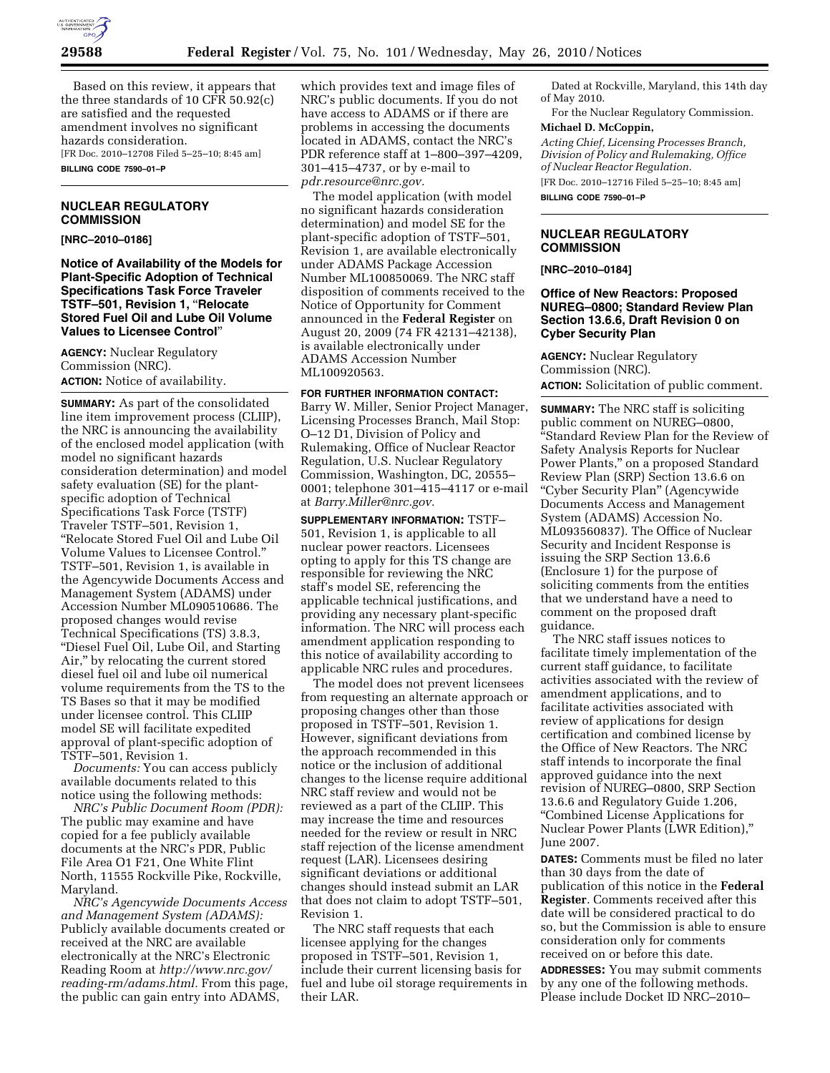

Based on this review, it appears that the three standards of 10 CFR 50.92(c) are satisfied and the requested amendment involves no significant hazards consideration. [FR Doc. 2010–12708 Filed 5–25–10; 8:45 am] **BILLING CODE 7590–01–P** 

#### **NUCLEAR REGULATORY COMMISSION**

#### **[NRC–2010–0186]**

**Notice of Availability of the Models for Plant-Specific Adoption of Technical Specifications Task Force Traveler TSTF–501, Revision 1,** ''**Relocate Stored Fuel Oil and Lube Oil Volume Values to Licensee Control**''

**AGENCY:** Nuclear Regulatory Commission (NRC). **ACTION:** Notice of availability.

**SUMMARY:** As part of the consolidated line item improvement process (CLIIP), the NRC is announcing the availability of the enclosed model application (with model no significant hazards consideration determination) and model safety evaluation (SE) for the plantspecific adoption of Technical Specifications Task Force (TSTF) Traveler TSTF–501, Revision 1, ''Relocate Stored Fuel Oil and Lube Oil Volume Values to Licensee Control.'' TSTF–501, Revision 1, is available in the Agencywide Documents Access and Management System (ADAMS) under Accession Number ML090510686. The proposed changes would revise Technical Specifications (TS) 3.8.3, ''Diesel Fuel Oil, Lube Oil, and Starting Air,'' by relocating the current stored diesel fuel oil and lube oil numerical volume requirements from the TS to the TS Bases so that it may be modified under licensee control. This CLIIP model SE will facilitate expedited approval of plant-specific adoption of TSTF–501, Revision 1.

*Documents:* You can access publicly available documents related to this notice using the following methods:

*NRC's Public Document Room (PDR):*  The public may examine and have copied for a fee publicly available documents at the NRC's PDR, Public File Area O1 F21, One White Flint North, 11555 Rockville Pike, Rockville, Maryland.

*NRC's Agencywide Documents Access and Management System (ADAMS):*  Publicly available documents created or received at the NRC are available electronically at the NRC's Electronic Reading Room at *http://www.nrc.gov/ reading-rm/adams.html.* From this page, the public can gain entry into ADAMS,

which provides text and image files of NRC's public documents. If you do not have access to ADAMS or if there are problems in accessing the documents located in ADAMS, contact the NRC's PDR reference staff at 1–800–397–4209, 301–415–4737, or by e-mail to *pdr.resource@nrc.gov.* 

The model application (with model no significant hazards consideration determination) and model SE for the plant-specific adoption of TSTF–501, Revision 1, are available electronically under ADAMS Package Accession Number ML100850069. The NRC staff disposition of comments received to the Notice of Opportunity for Comment announced in the **Federal Register** on August 20, 2009 (74 FR 42131–42138), is available electronically under ADAMS Accession Number ML100920563.

### **FOR FURTHER INFORMATION CONTACT:**

Barry W. Miller, Senior Project Manager, Licensing Processes Branch, Mail Stop: O–12 D1, Division of Policy and Rulemaking, Office of Nuclear Reactor Regulation, U.S. Nuclear Regulatory Commission, Washington, DC, 20555– 0001; telephone 301–415–4117 or e-mail at *Barry.Miller@nrc.gov.* 

**SUPPLEMENTARY INFORMATION:** TSTF– 501, Revision 1, is applicable to all nuclear power reactors. Licensees opting to apply for this TS change are responsible for reviewing the NRC staff's model SE, referencing the applicable technical justifications, and providing any necessary plant-specific information. The NRC will process each amendment application responding to this notice of availability according to applicable NRC rules and procedures.

The model does not prevent licensees from requesting an alternate approach or proposing changes other than those proposed in TSTF–501, Revision 1. However, significant deviations from the approach recommended in this notice or the inclusion of additional changes to the license require additional NRC staff review and would not be reviewed as a part of the CLIIP. This may increase the time and resources needed for the review or result in NRC staff rejection of the license amendment request (LAR). Licensees desiring significant deviations or additional changes should instead submit an LAR that does not claim to adopt TSTF–501, Revision 1.

The NRC staff requests that each licensee applying for the changes proposed in TSTF–501, Revision 1, include their current licensing basis for fuel and lube oil storage requirements in their LAR.

Dated at Rockville, Maryland, this 14th day of May 2010.

For the Nuclear Regulatory Commission. **Michael D. McCoppin,** 

*Acting Chief, Licensing Processes Branch, Division of Policy and Rulemaking, Office of Nuclear Reactor Regulation.* 

[FR Doc. 2010–12716 Filed 5–25–10; 8:45 am] **BILLING CODE 7590–01–P** 

### **NUCLEAR REGULATORY COMMISSION**

**[NRC–2010–0184]** 

# **Office of New Reactors: Proposed NUREG–0800; Standard Review Plan Section 13.6.6, Draft Revision 0 on Cyber Security Plan**

**AGENCY:** Nuclear Regulatory Commission (NRC). **ACTION:** Solicitation of public comment.

**SUMMARY:** The NRC staff is soliciting public comment on NUREG–0800, ''Standard Review Plan for the Review of Safety Analysis Reports for Nuclear Power Plants,'' on a proposed Standard Review Plan (SRP) Section 13.6.6 on ''Cyber Security Plan'' (Agencywide Documents Access and Management System (ADAMS) Accession No. ML093560837). The Office of Nuclear Security and Incident Response is issuing the SRP Section 13.6.6 (Enclosure 1) for the purpose of soliciting comments from the entities that we understand have a need to comment on the proposed draft guidance.

The NRC staff issues notices to facilitate timely implementation of the current staff guidance, to facilitate activities associated with the review of amendment applications, and to facilitate activities associated with review of applications for design certification and combined license by the Office of New Reactors. The NRC staff intends to incorporate the final approved guidance into the next revision of NUREG–0800, SRP Section 13.6.6 and Regulatory Guide 1.206, ''Combined License Applications for Nuclear Power Plants (LWR Edition),'' June 2007.

**DATES:** Comments must be filed no later than 30 days from the date of publication of this notice in the **Federal Register**. Comments received after this date will be considered practical to do so, but the Commission is able to ensure consideration only for comments received on or before this date.

**ADDRESSES:** You may submit comments by any one of the following methods. Please include Docket ID NRC–2010–